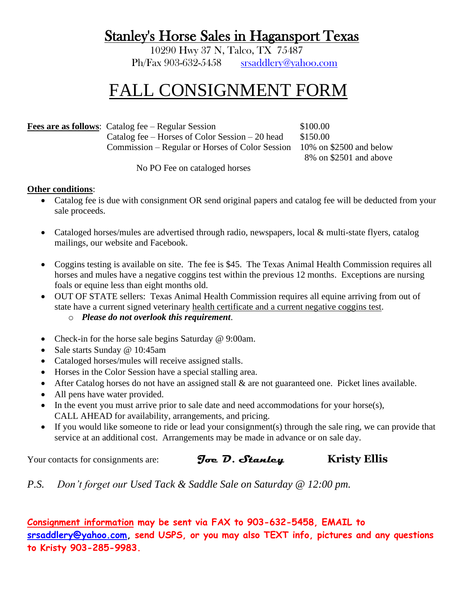## Stanley's Horse Sales in Hagansport Texas

10290 Hwy 37 N, Talco, TX 75487 Ph/Fax 903-632-5458 [srsaddlery@yahoo.com](mailto:srsaddlery@yahoo.com)

## FALL CONSIGNMENT FORM

**Fees are as follows**: Catalog fee – Regular Session \$100.00 Catalog fee – Horses of Color Session – 20 head  $$150.00$ Commission – Regular or Horses of Color Session 10% on \$2500 and below

8% on \$2501 and above

No PO Fee on cataloged horses

## **Other conditions**:

- Catalog fee is due with consignment OR send original papers and catalog fee will be deducted from your sale proceeds.
- Cataloged horses/mules are advertised through radio, newspapers, local & multi-state flyers, catalog mailings, our website and Facebook.
- Coggins testing is available on site. The fee is \$45. The Texas Animal Health Commission requires all horses and mules have a negative coggins test within the previous 12 months. Exceptions are nursing foals or equine less than eight months old.
- OUT OF STATE sellers: Texas Animal Health Commission requires all equine arriving from out of state have a current signed veterinary health certificate and a current negative coggins test.
	- o *Please do not overlook this requirement*.
- Check-in for the horse sale begins Saturday @ 9:00am.
- Sale starts Sunday @ 10:45am
- Cataloged horses/mules will receive assigned stalls.
- Horses in the Color Session have a special stalling area.
- After Catalog horses do not have an assigned stall & are not guaranteed one. Picket lines available.
- All pens have water provided.
- In the event you must arrive prior to sale date and need accommodations for your horse(s), CALL AHEAD for availability, arrangements, and pricing.
- If you would like someone to ride or lead your consignment(s) through the sale ring, we can provide that service at an additional cost. Arrangements may be made in advance or on sale day.

## Your contacts for consignments are: **Joe D. Stanley Kristy Ellis**

*P.S. Don't forget our Used Tack & Saddle Sale on Saturday @ 12:00 pm.*

**Consignment information may be sent via FAX to 903-632-5458, EMAIL to [srsaddlery@yahoo.com,](mailto:srsaddlery@yahoo.com) send USPS, or you may also TEXT info, pictures and any questions to Kristy 903-285-9983.**